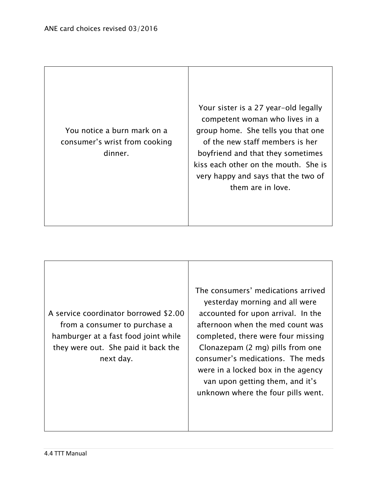You notice a burn mark on a consumer's wrist from cooking dinner.

Your sister is a 27 year-old legally competent woman who lives in a group home. She tells you that one of the new staff members is her boyfriend and that they sometimes kiss each other on the mouth. She is very happy and says that the two of them are in love.

A service coordinator borrowed \$2.00 from a consumer to purchase a hamburger at a fast food joint while they were out. She paid it back the next day.

The consumers' medications arrived yesterday morning and all were accounted for upon arrival. In the afternoon when the med count was completed, there were four missing Clonazepam (2 mg) pills from one consumer's medications. The meds were in a locked box in the agency van upon getting them, and it's unknown where the four pills went.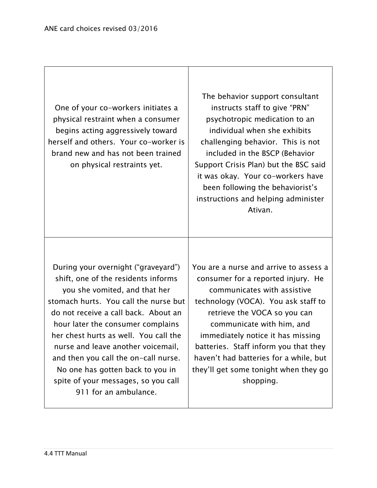One of your co-workers initiates a physical restraint when a consumer begins acting aggressively toward herself and others. Your co-worker is brand new and has not been trained on physical restraints yet. The behavior support consultant instructs staff to give "PRN" psychotropic medication to an individual when she exhibits challenging behavior. This is not included in the BSCP (Behavior Support Crisis Plan) but the BSC said it was okay. Your co-workers have been following the behaviorist's instructions and helping administer Ativan. During your overnight ("graveyard") shift, one of the residents informs you she vomited, and that her stomach hurts. You call the nurse but do not receive a call back. About an hour later the consumer complains her chest hurts as well. You call the nurse and leave another voicemail, and then you call the on-call nurse. No one has gotten back to you in spite of your messages, so you call 911 for an ambulance. You are a nurse and arrive to assess a consumer for a reported injury. He communicates with assistive technology (VOCA). You ask staff to retrieve the VOCA so you can communicate with him, and immediately notice it has missing batteries. Staff inform you that they haven't had batteries for a while, but they'll get some tonight when they go shopping.